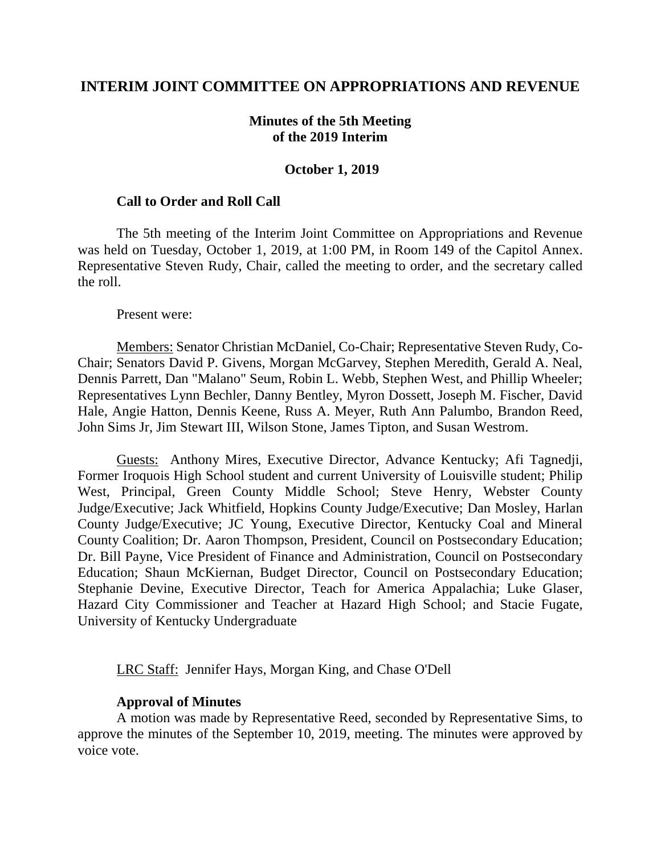### **INTERIM JOINT COMMITTEE ON APPROPRIATIONS AND REVENUE**

### **Minutes of the 5th Meeting of the 2019 Interim**

#### **October 1, 2019**

#### **Call to Order and Roll Call**

The 5th meeting of the Interim Joint Committee on Appropriations and Revenue was held on Tuesday, October 1, 2019, at 1:00 PM, in Room 149 of the Capitol Annex. Representative Steven Rudy, Chair, called the meeting to order, and the secretary called the roll.

Present were:

Members: Senator Christian McDaniel, Co-Chair; Representative Steven Rudy, Co-Chair; Senators David P. Givens, Morgan McGarvey, Stephen Meredith, Gerald A. Neal, Dennis Parrett, Dan "Malano" Seum, Robin L. Webb, Stephen West, and Phillip Wheeler; Representatives Lynn Bechler, Danny Bentley, Myron Dossett, Joseph M. Fischer, David Hale, Angie Hatton, Dennis Keene, Russ A. Meyer, Ruth Ann Palumbo, Brandon Reed, John Sims Jr, Jim Stewart III, Wilson Stone, James Tipton, and Susan Westrom.

Guests: Anthony Mires, Executive Director, Advance Kentucky; Afi Tagnedji, Former Iroquois High School student and current University of Louisville student; Philip West, Principal, Green County Middle School; Steve Henry, Webster County Judge/Executive; Jack Whitfield, Hopkins County Judge/Executive; Dan Mosley, Harlan County Judge/Executive; JC Young, Executive Director, Kentucky Coal and Mineral County Coalition; Dr. Aaron Thompson, President, Council on Postsecondary Education; Dr. Bill Payne, Vice President of Finance and Administration, Council on Postsecondary Education; Shaun McKiernan, Budget Director, Council on Postsecondary Education; Stephanie Devine, Executive Director, Teach for America Appalachia; Luke Glaser, Hazard City Commissioner and Teacher at Hazard High School; and Stacie Fugate, University of Kentucky Undergraduate

LRC Staff: Jennifer Hays, Morgan King, and Chase O'Dell

### **Approval of Minutes**

A motion was made by Representative Reed, seconded by Representative Sims, to approve the minutes of the September 10, 2019, meeting. The minutes were approved by voice vote.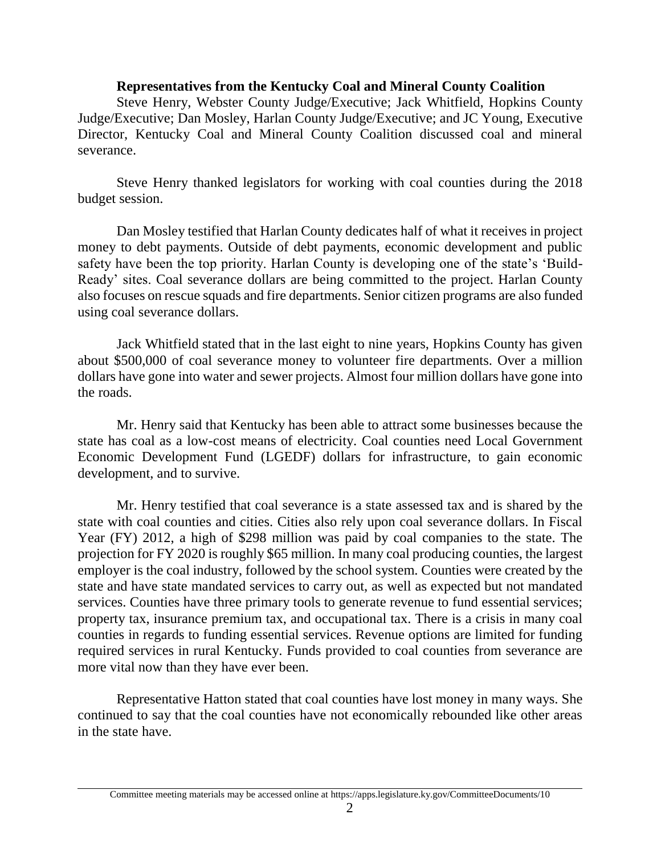## **Representatives from the Kentucky Coal and Mineral County Coalition**

Steve Henry, Webster County Judge/Executive; Jack Whitfield, Hopkins County Judge/Executive; Dan Mosley, Harlan County Judge/Executive; and JC Young, Executive Director, Kentucky Coal and Mineral County Coalition discussed coal and mineral severance.

Steve Henry thanked legislators for working with coal counties during the 2018 budget session.

Dan Mosley testified that Harlan County dedicates half of what it receives in project money to debt payments. Outside of debt payments, economic development and public safety have been the top priority. Harlan County is developing one of the state's 'Build-Ready' sites. Coal severance dollars are being committed to the project. Harlan County also focuses on rescue squads and fire departments. Senior citizen programs are also funded using coal severance dollars.

Jack Whitfield stated that in the last eight to nine years, Hopkins County has given about \$500,000 of coal severance money to volunteer fire departments. Over a million dollars have gone into water and sewer projects. Almost four million dollars have gone into the roads.

Mr. Henry said that Kentucky has been able to attract some businesses because the state has coal as a low-cost means of electricity. Coal counties need Local Government Economic Development Fund (LGEDF) dollars for infrastructure, to gain economic development, and to survive.

Mr. Henry testified that coal severance is a state assessed tax and is shared by the state with coal counties and cities. Cities also rely upon coal severance dollars. In Fiscal Year (FY) 2012, a high of \$298 million was paid by coal companies to the state. The projection for FY 2020 is roughly \$65 million. In many coal producing counties, the largest employer is the coal industry, followed by the school system. Counties were created by the state and have state mandated services to carry out, as well as expected but not mandated services. Counties have three primary tools to generate revenue to fund essential services; property tax, insurance premium tax, and occupational tax. There is a crisis in many coal counties in regards to funding essential services. Revenue options are limited for funding required services in rural Kentucky. Funds provided to coal counties from severance are more vital now than they have ever been.

Representative Hatton stated that coal counties have lost money in many ways. She continued to say that the coal counties have not economically rebounded like other areas in the state have.

Committee meeting materials may be accessed online at https://apps.legislature.ky.gov/CommitteeDocuments/10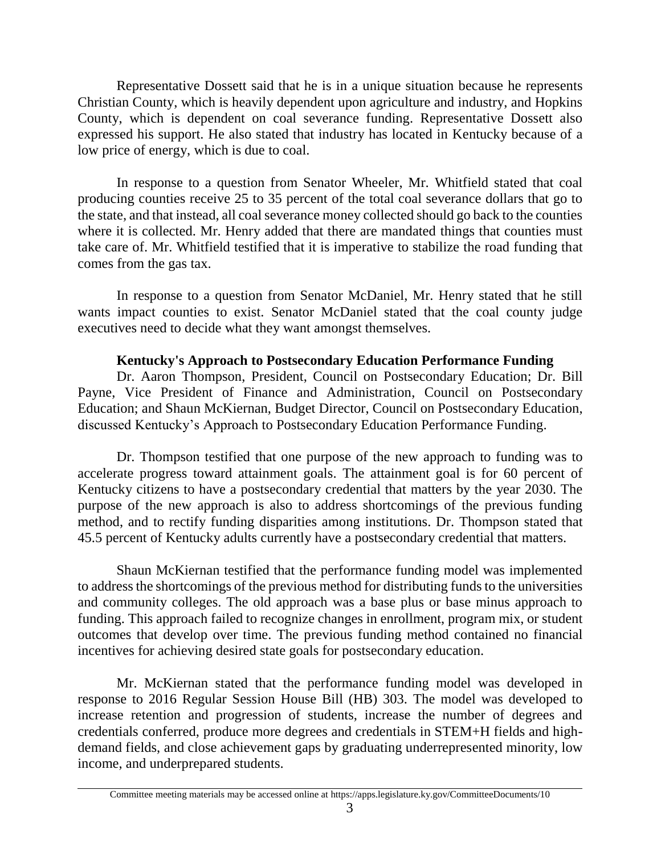Representative Dossett said that he is in a unique situation because he represents Christian County, which is heavily dependent upon agriculture and industry, and Hopkins County, which is dependent on coal severance funding. Representative Dossett also expressed his support. He also stated that industry has located in Kentucky because of a low price of energy, which is due to coal.

In response to a question from Senator Wheeler, Mr. Whitfield stated that coal producing counties receive 25 to 35 percent of the total coal severance dollars that go to the state, and that instead, all coal severance money collected should go back to the counties where it is collected. Mr. Henry added that there are mandated things that counties must take care of. Mr. Whitfield testified that it is imperative to stabilize the road funding that comes from the gas tax.

In response to a question from Senator McDaniel, Mr. Henry stated that he still wants impact counties to exist. Senator McDaniel stated that the coal county judge executives need to decide what they want amongst themselves.

### **Kentucky's Approach to Postsecondary Education Performance Funding**

Dr. Aaron Thompson, President, Council on Postsecondary Education; Dr. Bill Payne, Vice President of Finance and Administration, Council on Postsecondary Education; and Shaun McKiernan, Budget Director, Council on Postsecondary Education, discussed Kentucky's Approach to Postsecondary Education Performance Funding.

Dr. Thompson testified that one purpose of the new approach to funding was to accelerate progress toward attainment goals. The attainment goal is for 60 percent of Kentucky citizens to have a postsecondary credential that matters by the year 2030. The purpose of the new approach is also to address shortcomings of the previous funding method, and to rectify funding disparities among institutions. Dr. Thompson stated that 45.5 percent of Kentucky adults currently have a postsecondary credential that matters.

Shaun McKiernan testified that the performance funding model was implemented to address the shortcomings of the previous method for distributing funds to the universities and community colleges. The old approach was a base plus or base minus approach to funding. This approach failed to recognize changes in enrollment, program mix, or student outcomes that develop over time. The previous funding method contained no financial incentives for achieving desired state goals for postsecondary education.

Mr. McKiernan stated that the performance funding model was developed in response to 2016 Regular Session House Bill (HB) 303. The model was developed to increase retention and progression of students, increase the number of degrees and credentials conferred, produce more degrees and credentials in STEM+H fields and highdemand fields, and close achievement gaps by graduating underrepresented minority, low income, and underprepared students.

Committee meeting materials may be accessed online at https://apps.legislature.ky.gov/CommitteeDocuments/10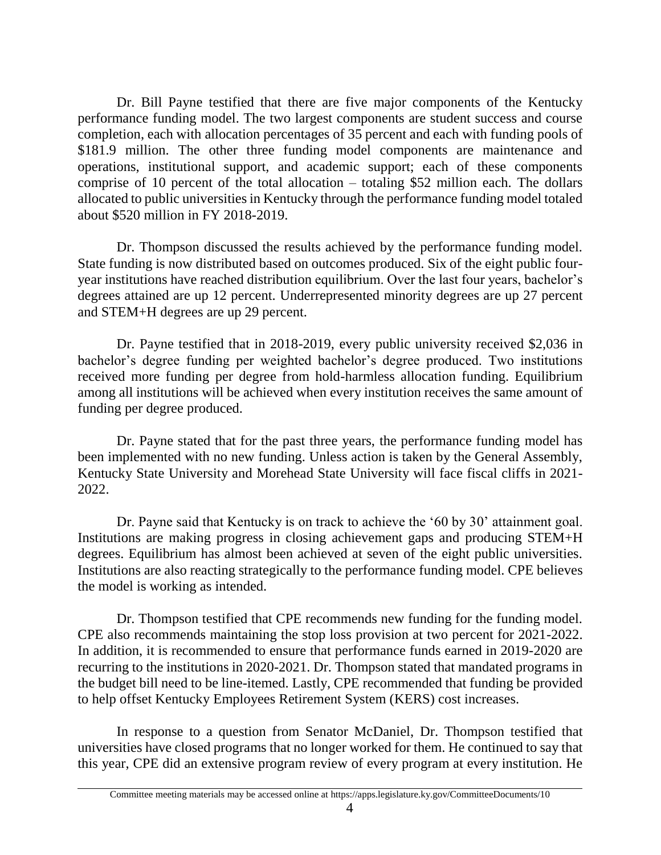Dr. Bill Payne testified that there are five major components of the Kentucky performance funding model. The two largest components are student success and course completion, each with allocation percentages of 35 percent and each with funding pools of \$181.9 million. The other three funding model components are maintenance and operations, institutional support, and academic support; each of these components comprise of 10 percent of the total allocation – totaling \$52 million each. The dollars allocated to public universities in Kentucky through the performance funding model totaled about \$520 million in FY 2018-2019.

Dr. Thompson discussed the results achieved by the performance funding model. State funding is now distributed based on outcomes produced. Six of the eight public fouryear institutions have reached distribution equilibrium. Over the last four years, bachelor's degrees attained are up 12 percent. Underrepresented minority degrees are up 27 percent and STEM+H degrees are up 29 percent.

Dr. Payne testified that in 2018-2019, every public university received \$2,036 in bachelor's degree funding per weighted bachelor's degree produced. Two institutions received more funding per degree from hold-harmless allocation funding. Equilibrium among all institutions will be achieved when every institution receives the same amount of funding per degree produced.

Dr. Payne stated that for the past three years, the performance funding model has been implemented with no new funding. Unless action is taken by the General Assembly, Kentucky State University and Morehead State University will face fiscal cliffs in 2021- 2022.

Dr. Payne said that Kentucky is on track to achieve the '60 by 30' attainment goal. Institutions are making progress in closing achievement gaps and producing STEM+H degrees. Equilibrium has almost been achieved at seven of the eight public universities. Institutions are also reacting strategically to the performance funding model. CPE believes the model is working as intended.

Dr. Thompson testified that CPE recommends new funding for the funding model. CPE also recommends maintaining the stop loss provision at two percent for 2021-2022. In addition, it is recommended to ensure that performance funds earned in 2019-2020 are recurring to the institutions in 2020-2021. Dr. Thompson stated that mandated programs in the budget bill need to be line-itemed. Lastly, CPE recommended that funding be provided to help offset Kentucky Employees Retirement System (KERS) cost increases.

In response to a question from Senator McDaniel, Dr. Thompson testified that universities have closed programs that no longer worked for them. He continued to say that this year, CPE did an extensive program review of every program at every institution. He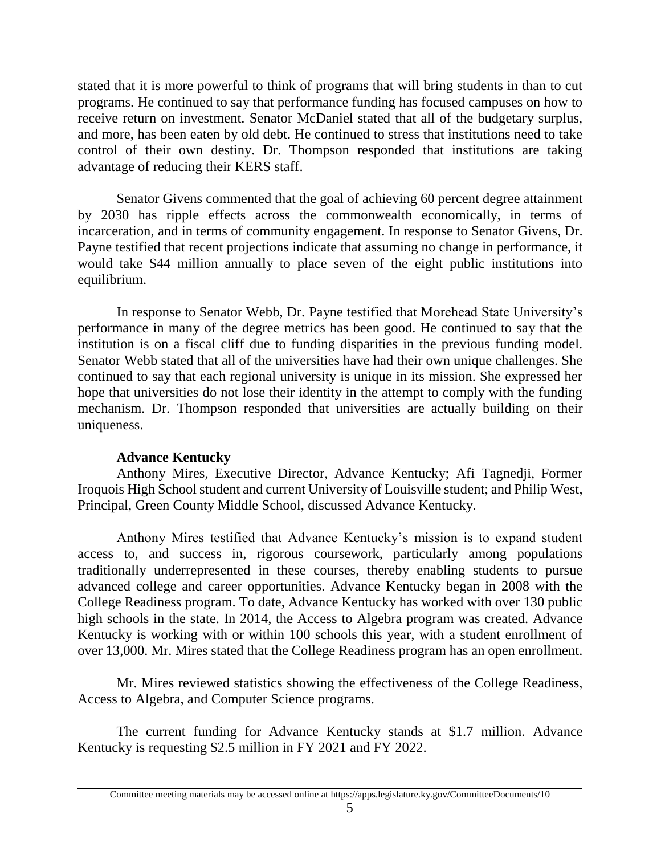stated that it is more powerful to think of programs that will bring students in than to cut programs. He continued to say that performance funding has focused campuses on how to receive return on investment. Senator McDaniel stated that all of the budgetary surplus, and more, has been eaten by old debt. He continued to stress that institutions need to take control of their own destiny. Dr. Thompson responded that institutions are taking advantage of reducing their KERS staff.

Senator Givens commented that the goal of achieving 60 percent degree attainment by 2030 has ripple effects across the commonwealth economically, in terms of incarceration, and in terms of community engagement. In response to Senator Givens, Dr. Payne testified that recent projections indicate that assuming no change in performance, it would take \$44 million annually to place seven of the eight public institutions into equilibrium.

In response to Senator Webb, Dr. Payne testified that Morehead State University's performance in many of the degree metrics has been good. He continued to say that the institution is on a fiscal cliff due to funding disparities in the previous funding model. Senator Webb stated that all of the universities have had their own unique challenges. She continued to say that each regional university is unique in its mission. She expressed her hope that universities do not lose their identity in the attempt to comply with the funding mechanism. Dr. Thompson responded that universities are actually building on their uniqueness.

# **Advance Kentucky**

Anthony Mires, Executive Director, Advance Kentucky; Afi Tagnedji, Former Iroquois High School student and current University of Louisville student; and Philip West, Principal, Green County Middle School, discussed Advance Kentucky.

Anthony Mires testified that Advance Kentucky's mission is to expand student access to, and success in, rigorous coursework, particularly among populations traditionally underrepresented in these courses, thereby enabling students to pursue advanced college and career opportunities. Advance Kentucky began in 2008 with the College Readiness program. To date, Advance Kentucky has worked with over 130 public high schools in the state. In 2014, the Access to Algebra program was created. Advance Kentucky is working with or within 100 schools this year, with a student enrollment of over 13,000. Mr. Mires stated that the College Readiness program has an open enrollment.

Mr. Mires reviewed statistics showing the effectiveness of the College Readiness, Access to Algebra, and Computer Science programs.

The current funding for Advance Kentucky stands at \$1.7 million. Advance Kentucky is requesting \$2.5 million in FY 2021 and FY 2022.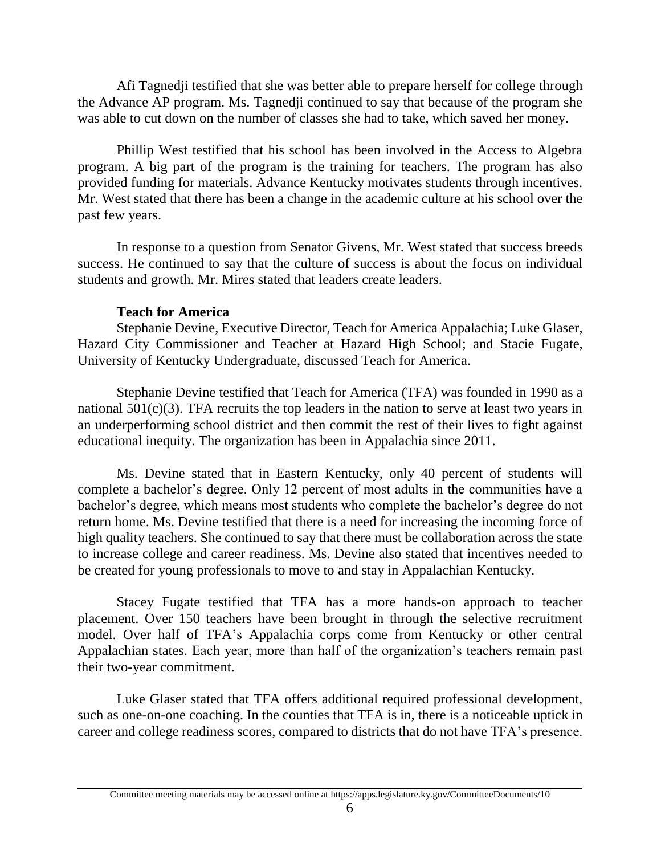Afi Tagnedji testified that she was better able to prepare herself for college through the Advance AP program. Ms. Tagnedji continued to say that because of the program she was able to cut down on the number of classes she had to take, which saved her money.

Phillip West testified that his school has been involved in the Access to Algebra program. A big part of the program is the training for teachers. The program has also provided funding for materials. Advance Kentucky motivates students through incentives. Mr. West stated that there has been a change in the academic culture at his school over the past few years.

In response to a question from Senator Givens, Mr. West stated that success breeds success. He continued to say that the culture of success is about the focus on individual students and growth. Mr. Mires stated that leaders create leaders.

## **Teach for America**

Stephanie Devine, Executive Director, Teach for America Appalachia; Luke Glaser, Hazard City Commissioner and Teacher at Hazard High School; and Stacie Fugate, University of Kentucky Undergraduate, discussed Teach for America.

Stephanie Devine testified that Teach for America (TFA) was founded in 1990 as a national 501(c)(3). TFA recruits the top leaders in the nation to serve at least two years in an underperforming school district and then commit the rest of their lives to fight against educational inequity. The organization has been in Appalachia since 2011.

Ms. Devine stated that in Eastern Kentucky, only 40 percent of students will complete a bachelor's degree. Only 12 percent of most adults in the communities have a bachelor's degree, which means most students who complete the bachelor's degree do not return home. Ms. Devine testified that there is a need for increasing the incoming force of high quality teachers. She continued to say that there must be collaboration across the state to increase college and career readiness. Ms. Devine also stated that incentives needed to be created for young professionals to move to and stay in Appalachian Kentucky.

Stacey Fugate testified that TFA has a more hands-on approach to teacher placement. Over 150 teachers have been brought in through the selective recruitment model. Over half of TFA's Appalachia corps come from Kentucky or other central Appalachian states. Each year, more than half of the organization's teachers remain past their two-year commitment.

Luke Glaser stated that TFA offers additional required professional development, such as one-on-one coaching. In the counties that TFA is in, there is a noticeable uptick in career and college readiness scores, compared to districts that do not have TFA's presence.

Committee meeting materials may be accessed online at https://apps.legislature.ky.gov/CommitteeDocuments/10